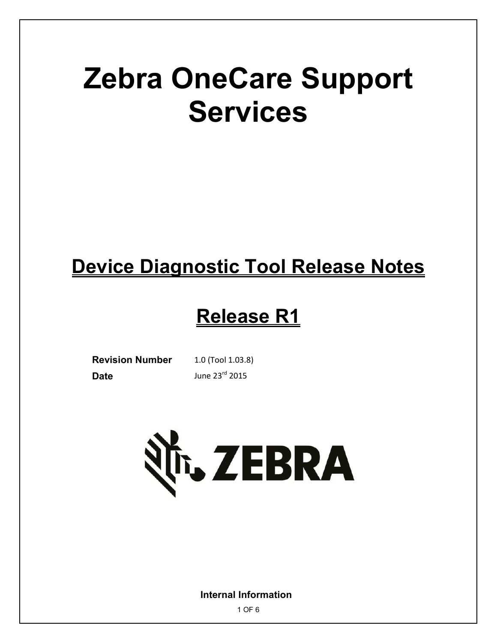# **Zebra OneCare Support Services**

## **Device Diagnostic Tool Release Notes**

### **Release R1**

**Revision Number** 1.0 (Tool 1.03.8) **Date June 23<sup>rd</sup> 2015** 



**Internal Information**

1 OF 6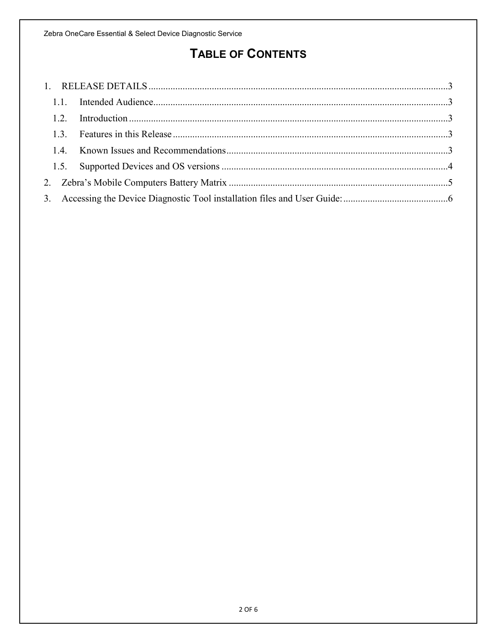### **TABLE OF CONTENTS**

| 1.3 |  |  |  |
|-----|--|--|--|
|     |  |  |  |
|     |  |  |  |
|     |  |  |  |
|     |  |  |  |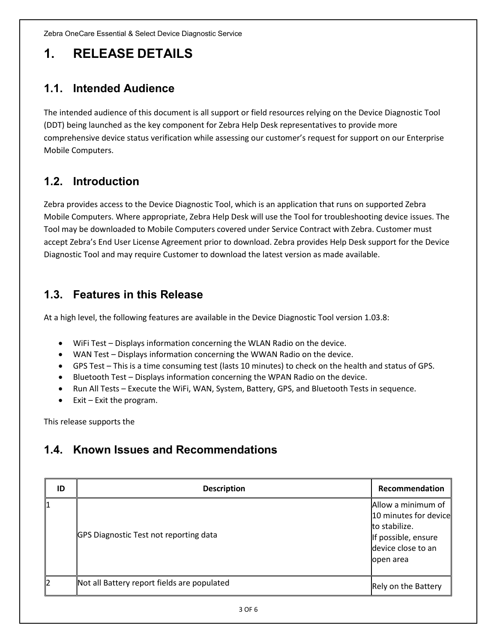Zebra OneCare Essential & Select Device Diagnostic Service

### <span id="page-2-0"></span>**1. RELEASE DETAILS**

#### <span id="page-2-1"></span>**1.1. Intended Audience**

The intended audience of this document is all support or field resources relying on the Device Diagnostic Tool (DDT) being launched as the key component for Zebra Help Desk representatives to provide more comprehensive device status verification while assessing our customer's request for support on our Enterprise Mobile Computers.

#### <span id="page-2-2"></span>**1.2. Introduction**

Zebra provides access to the Device Diagnostic Tool, which is an application that runs on supported Zebra Mobile Computers. Where appropriate, Zebra Help Desk will use the Tool for troubleshooting device issues. The Tool may be downloaded to Mobile Computers covered under Service Contract with Zebra. Customer must accept Zebra's End User License Agreement prior to download. Zebra provides Help Desk support for the Device Diagnostic Tool and may require Customer to download the latest version as made available.

#### <span id="page-2-3"></span>**1.3. Features in this Release**

At a high level, the following features are available in the Device Diagnostic Tool version 1.03.8:

- WiFi Test Displays information concerning the WLAN Radio on the device.
- WAN Test Displays information concerning the WWAN Radio on the device.
- GPS Test This is a time consuming test (lasts 10 minutes) to check on the health and status of GPS.
- Bluetooth Test Displays information concerning the WPAN Radio on the device.
- Run All Tests Execute the WiFi, WAN, System, Battery, GPS, and Bluetooth Tests in sequence.
- $\bullet$  Exit Exit the program.

This release supports the

#### <span id="page-2-4"></span>**1.4. Known Issues and Recommendations**

| ID | <b>Description</b>                          | Recommendation                                                                                                                      |
|----|---------------------------------------------|-------------------------------------------------------------------------------------------------------------------------------------|
|    | GPS Diagnostic Test not reporting data      | Allow a minimum of $\parallel$<br>10 minutes for device<br>to stabilize.<br>If possible, ensure<br>device close to an<br>lopen area |
|    | Not all Battery report fields are populated | Rely on the Battery                                                                                                                 |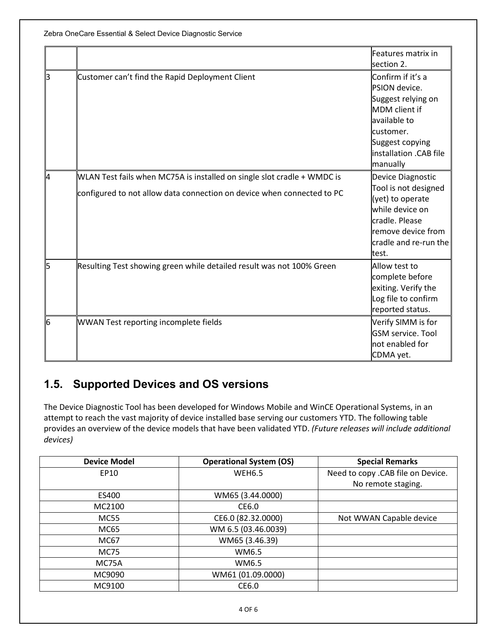Zebra OneCare Essential & Select Device Diagnostic Service

|    |                                                                         | Features matrix in<br>section 2.                           |
|----|-------------------------------------------------------------------------|------------------------------------------------------------|
| B  | Customer can't find the Rapid Deployment Client                         | Confirm if it's a<br>PSION device.                         |
|    |                                                                         | Suggest relying on<br><b>MDM</b> client if<br>available to |
|    |                                                                         | customer.                                                  |
|    |                                                                         | Suggest copying<br>linstallation .CAB file<br>manually     |
| l4 | WLAN Test fails when MC75A is installed on single slot cradle + WMDC is | Device Diagnostic                                          |
|    | configured to not allow data connection on device when connected to PC  | Tool is not designed<br>(yet) to operate                   |
|    |                                                                         | while device on                                            |
|    |                                                                         | cradle. Please<br>remove device from                       |
|    |                                                                         | cradle and re-run the                                      |
|    |                                                                         | test.                                                      |
| 15 | Resulting Test showing green while detailed result was not 100% Green   | Allow test to                                              |
|    |                                                                         | complete before                                            |
|    |                                                                         | exiting. Verify the                                        |
|    |                                                                         | Log file to confirm                                        |
|    |                                                                         | reported status.                                           |
| 16 | <b>WWAN Test reporting incomplete fields</b>                            | Verify SIMM is for                                         |
|    |                                                                         | <b>GSM</b> service. Tool                                   |
|    |                                                                         | not enabled for                                            |
|    |                                                                         | CDMA yet.                                                  |

#### <span id="page-3-0"></span>**1.5. Supported Devices and OS versions**

The Device Diagnostic Tool has been developed for Windows Mobile and WinCE Operational Systems, in an attempt to reach the vast majority of device installed base serving our customers YTD. The following table provides an overview of the device models that have been validated YTD. *(Future releases will include additional devices)*

| <b>Device Model</b> | <b>Operational System (OS)</b> | <b>Special Remarks</b>            |
|---------------------|--------------------------------|-----------------------------------|
| EP10                | <b>WEH6.5</b>                  | Need to copy .CAB file on Device. |
|                     |                                | No remote staging.                |
| ES400               | WM65 (3.44.0000)               |                                   |
| MC2100              | CE6.0                          |                                   |
| <b>MC55</b>         | CE6.0 (82.32.0000)             | Not WWAN Capable device           |
| MC65                | WM 6.5 (03.46.0039)            |                                   |
| MC67                | WM65 (3.46.39)                 |                                   |
| MC75                | WM6.5                          |                                   |
| MC75A               | WM6.5                          |                                   |
| MC9090              | WM61 (01.09.0000)              |                                   |
| MC9100              | CE6.0                          |                                   |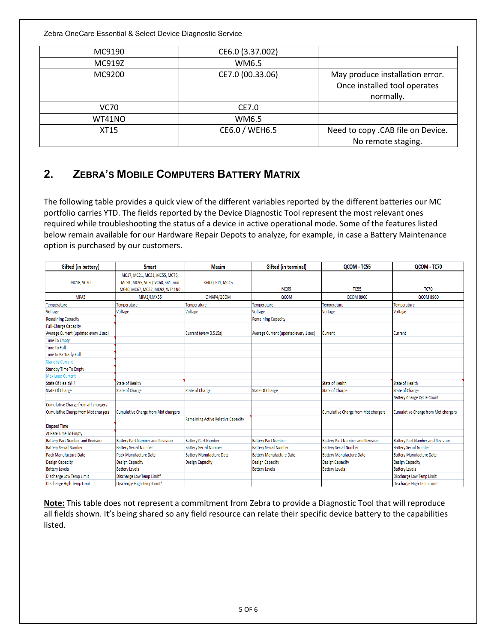Zebra OneCare Essential & Select Device Diagnostic Service

| MC9190 | CE6.0 (3.37.002) |                                                                              |
|--------|------------------|------------------------------------------------------------------------------|
| MC919Z | WM6.5            |                                                                              |
| MC9200 | CE7.0 (00.33.06) | May produce installation error.<br>Once installed tool operates<br>normally. |
| VC70   | CE7.0            |                                                                              |
| WT41NO | WM6.5            |                                                                              |
| XT15   | CE6.0 / WEH6.5   | Need to copy .CAB file on Device.<br>No remote staging.                      |

#### <span id="page-4-0"></span>**2. ZEBRA'S MOBILE COMPUTERS BATTERY MATRIX**

The following table provides a quick view of the different variables reported by the different batteries our MC portfolio carries YTD. The fields reported by the Device Diagnostic Tool represent the most relevant ones required while troubleshooting the status of a device in active operational mode. Some of the features listed below remain available for our Hardware Repair Depots to analyze, for example, in case a Battery Maintenance option is purchased by our customers.

| Gifted (in battery)                        | <b>Smart</b>                               | <b>Maxim</b>                              | Gifted (in terminal)                  | QCOM - TC55                                | QCOM - TC70                                |
|--------------------------------------------|--------------------------------------------|-------------------------------------------|---------------------------------------|--------------------------------------------|--------------------------------------------|
|                                            | MC17, MC21, MC31, MC55, MC75,              |                                           |                                       |                                            |                                            |
| MC18, VC70                                 | MC91, MC95, VC50, VC60, SB1, and           | ES400, ET1, MC45                          |                                       |                                            |                                            |
|                                            | MC40, MC67, MC32, MC92, WT41N0             |                                           | <b>MC65</b>                           | <b>TC55</b>                                | <b>TC70</b>                                |
| MPA3                                       | MPA2/i.MX35                                | OMAP4/QCOM                                | <b>QCOM</b>                           | <b>QCOM 8960</b>                           | <b>QCOM 8960</b>                           |
| Temperature                                | Temperature                                | Temperature                               | Temperature                           | Temperature                                | Temperature                                |
| Voltage                                    | Voltage                                    | Voltage                                   | <b>Voltage</b>                        | Voltage                                    | Voltage                                    |
| <b>Remaining Capacity</b>                  |                                            |                                           | <b>Remaining Capacity</b>             |                                            |                                            |
| <b>Full-Charge Capacity</b>                |                                            |                                           |                                       |                                            |                                            |
| Average Current (updated every 1 sec)      |                                            | Current (every 3.515s)                    | Average Current (updated every 1 sec) | Current                                    | Current                                    |
| <b>Time To Empty</b>                       |                                            |                                           |                                       |                                            |                                            |
| <b>Time To Full</b>                        |                                            |                                           |                                       |                                            |                                            |
| <b>Time to Partially Full</b>              |                                            |                                           |                                       |                                            |                                            |
| <b>Standby Current</b>                     |                                            |                                           |                                       |                                            |                                            |
| <b>Standby Time To Empty</b>               |                                            |                                           |                                       |                                            |                                            |
| <b>Max Load Current</b>                    |                                            |                                           |                                       |                                            |                                            |
| State Of Health!!!                         | <b>State of Health</b>                     |                                           |                                       | <b>State of Health</b>                     | <b>State of Health</b>                     |
| <b>State Of Charge</b>                     | <b>State of Charge</b>                     | <b>State of Charge</b>                    | <b>State Of Charge</b>                | <b>State of Charge</b>                     | <b>State of Charge</b>                     |
|                                            |                                            |                                           |                                       |                                            | <b>Battery Charge Cycle Count</b>          |
| Cumulative Charge from all chargers        |                                            |                                           |                                       |                                            |                                            |
| <b>Cumulative Charge from Mot chargers</b> | <b>Cumulative Charge from Mot chargers</b> |                                           |                                       | <b>Cumulative Charge from Mot chargers</b> | <b>Cumulative Charge from Mot chargers</b> |
|                                            |                                            | <b>Remaining Active Relative Capacity</b> |                                       |                                            |                                            |
| <b>Elapsed Time</b>                        |                                            |                                           |                                       |                                            |                                            |
| At Rate Time To Empty                      |                                            |                                           |                                       |                                            |                                            |
| <b>Battery Part Number and Revision</b>    | <b>Battery Part Number and Revision</b>    | <b>Battery Part Number</b>                | <b>Battery Part Number</b>            | <b>Battery Part Number and Revision</b>    | <b>Battery Part Number and Revision</b>    |
| <b>Battery Serial Number</b>               | <b>Battery Serial Number</b>               | <b>Battery Serial Number</b>              | <b>Battery Serial Number</b>          | <b>Battery Serial Number</b>               | <b>Battery Serial Number</b>               |
| <b>Pack Manufacture Date</b>               | Pack Manufacture Date                      | <b>Battery Manufacture Date</b>           | <b>Battery Manufacture Date</b>       | <b>Battery Manufacture Date</b>            | <b>Battery Manufacture Date</b>            |
| <b>Design Capacity</b>                     | <b>Design Capacity</b>                     | <b>Design Capacity</b>                    | <b>Design Capacity</b>                | <b>Design Capacity</b>                     | <b>Design Capacity</b>                     |
| <b>Battery Levels</b>                      | <b>Battery Levels</b>                      |                                           | <b>Battery Levels</b>                 | <b>Battery Levels</b>                      | <b>Battery Levels</b>                      |
| Discharge Low Temp Limit                   | Discharge Low Temp Limit*                  |                                           |                                       |                                            | <b>Discharge Low Temp Limit</b>            |
| Discharge High Temp Limit                  | Discharge High Temp Limit*                 |                                           |                                       |                                            | Discharge High Temp Limit                  |

**Note:** This table does not represent a commitment from Zebra to provide a Diagnostic Tool that will reproduce all fields shown. It's being shared so any field resource can relate their specific device battery to the capabilities listed.